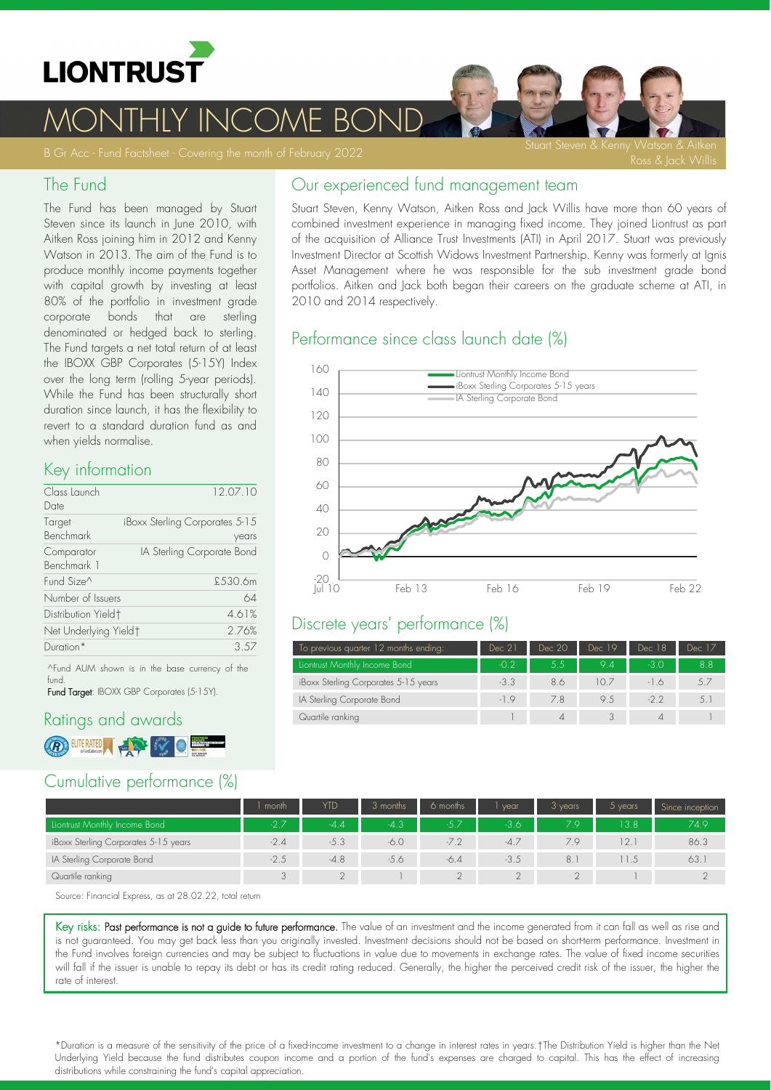

MONTHLY INCOME BOND

#### The Fund

The Fund has been managed by Stuart Steven since its launch in June 2010, with Aitken Ross joining him in 2012 and Kenny Watson in 2013. The aim of the Fund is to produce monthly income payments together with capital growth by investing at least 80% of the portfolio in investment grade corporate bonds that are sterling denominated or hedged back to sterling. The Fund targets a net total return of at least the IBOXX GBP Corporates (515Y) Index over the long term (rolling 5-year periods). While the Fund has been structurally short duration since launch, it has the flexibility to revert to a standard duration fund as and when yields normalise.

# Key information

| Class Launch<br>Date            | 12.07.10                                |
|---------------------------------|-----------------------------------------|
| Target<br>Benchmark             | iBoxx Sterling Corporates 5-15<br>years |
| Comparator<br>Benchmark 1       | IA Sterling Corporate Bond              |
| Fund Size <sup>^</sup>          | £.530.6m                                |
| Number of Issuers               | 64                                      |
| Distribution Yield <sup>+</sup> | 4.61%                                   |
| Net Underlying Yield†           | 2.76%                                   |
| Duration*                       | 3.57                                    |

^Fund AUM shown is in the base currency of the fund.

Fund Target: IBOXX GBP Corporates (5-15Y).

# Ratings and awards **B** EUTERATED A COMPANY OF THE RESEARCH

# Cumulative performance (%)

|  |  |  | Our experienced fund management team |  |
|--|--|--|--------------------------------------|--|
|--|--|--|--------------------------------------|--|

Stuart Steven, Kenny Watson, Aitken Ross and Jack Willis have more than 60 years of combined investment experience in managing fixed income. They joined Liontrust as part of the acquisition of Alliance Trust Investments (ATI) in April 2017. Stuart was previously Investment Director at Scottish Widows Investment Partnership. Kenny was formerly at Ignis Asset Management where he was responsible for the sub investment grade bond portfolios. Aitken and Jack both began their careers on the graduate scheme at ATI, in 2010 and 2014 respectively.

#### Performance since class launch date (%)



#### Discrete years' performance (%)

| To previous quarter 12 months ending: | Dec 21 | Dec 20 | Dec 19                 | Dec 18 | Dec 17 |
|---------------------------------------|--------|--------|------------------------|--------|--------|
| Liontrust Monthly Income Bond         | $-0.2$ | 5.5    | 94                     | -3 O   | 8.8    |
| iBoxx Sterling Corporates 5-15 years  | $-3.3$ | 8.6    | $\vert \Omega \rangle$ | -16    |        |
| IA Sterling Corporate Bond            | $-19$  | 7.8    | 9.5                    | $-22$  | 5.1    |
| Quartile ranking                      |        | 4      |                        |        |        |

|                                      | l month | YTD    | 3 months | 6 months | vear   | 3 years | $5$ years | Since inception |
|--------------------------------------|---------|--------|----------|----------|--------|---------|-----------|-----------------|
| Liontrust Monthly Income Bond        | $-2.7$  | $-4.4$ | $-4.3$   | -5.7     | $-3.6$ | 79.     | 3.8       | 74.9            |
| iBoxx Sterling Corporates 5-15 years | $-2.4$  | $-5.3$ | $-6.0$   |          | $-4.7$ | 7.9     | 2.1       | 86.3            |
| IA Sterling Corporate Bond           | $-2.5$  | $-4.8$ | $-5.6$   | $-6.4$   | $-3.5$ | 8.      |           | 63.1            |
| Quartile ranking                     | $\cap$  |        |          |          |        |         |           |                 |

Source: Financial Express, as at 28.02.22, total return

Key risks: Past performance is not a guide to future performance. The value of an investment and the income generated from it can fall as well as rise and is not guaranteed. You may get back less than you originally invested. Investment decisions should not be based on shortterm performance. Investment in the Fund involves foreign currencies and may be subject to fluctuations in value due to movements in exchange rates. The value of fixed income securities will fall if the issuer is unable to repay its debt or has its credit rating reduced. Generally, the higher the perceived credit risk of the issuer, the higher the rate of interest.

\*Duration is a measure of the sensitivity of the price of a fixedincome investment to a change in interest rates in years.†The Distribution Yield is higher than the Net Underlying Yield because the fund distributes coupon income and a portion of the fund's expenses are charged to capital. This has the effect of increasing distributions while constraining the fund's capital appreciation.